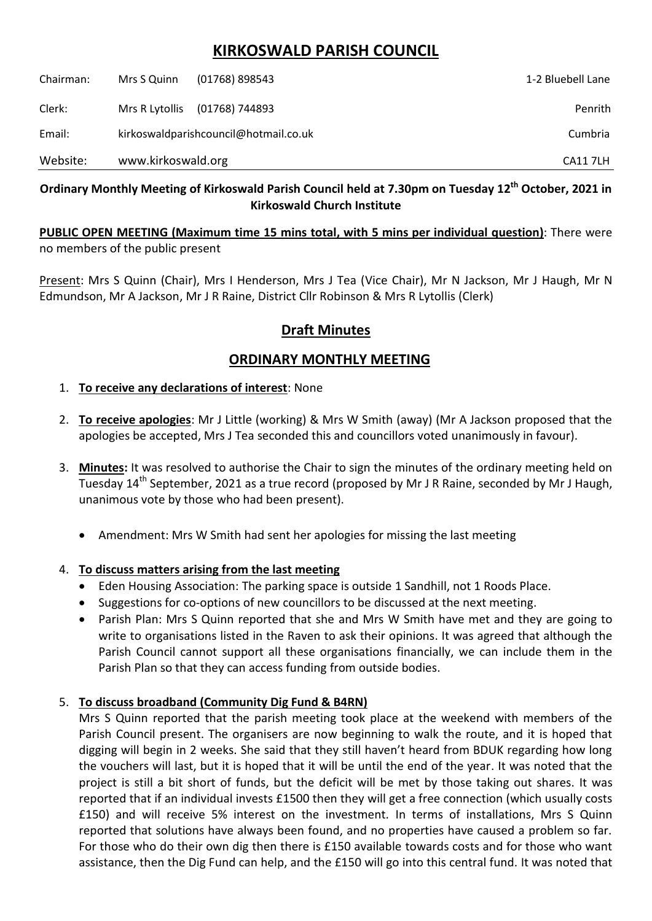# **KIRKOSWALD PARISH COUNCIL**

| Chairman: | Mrs S Quinn                           | $(01768)$ 898543 | 1-2 Bluebell Lane |
|-----------|---------------------------------------|------------------|-------------------|
| Clerk:    | Mrs R Lytollis                        | (01768) 744893   | Penrith           |
| Email:    | kirkoswaldparishcouncil@hotmail.co.uk |                  | Cumbria           |
| Website:  | www.kirkoswald.org                    |                  | <b>CA117LH</b>    |

## **Ordinary Monthly Meeting of Kirkoswald Parish Council held at 7.30pm on Tuesday 12th October, 2021 in Kirkoswald Church Institute**

**PUBLIC OPEN MEETING (Maximum time 15 mins total, with 5 mins per individual question)**: There were no members of the public present

Present: Mrs S Quinn (Chair), Mrs I Henderson, Mrs J Tea (Vice Chair), Mr N Jackson, Mr J Haugh, Mr N Edmundson, Mr A Jackson, Mr J R Raine, District Cllr Robinson & Mrs R Lytollis (Clerk)

# **Draft Minutes**

# **ORDINARY MONTHLY MEETING**

#### 1. **To receive any declarations of interest**: None

- 2. **To receive apologies**: Mr J Little (working) & Mrs W Smith (away) (Mr A Jackson proposed that the apologies be accepted, Mrs J Tea seconded this and councillors voted unanimously in favour).
- 3. **Minutes:** It was resolved to authorise the Chair to sign the minutes of the ordinary meeting held on Tuesday 14<sup>th</sup> September, 2021 as a true record (proposed by Mr J R Raine, seconded by Mr J Haugh, unanimous vote by those who had been present).
	- Amendment: Mrs W Smith had sent her apologies for missing the last meeting

### 4. **To discuss matters arising from the last meeting**

- Eden Housing Association: The parking space is outside 1 Sandhill, not 1 Roods Place.
- Suggestions for co-options of new councillors to be discussed at the next meeting.
- Parish Plan: Mrs S Quinn reported that she and Mrs W Smith have met and they are going to write to organisations listed in the Raven to ask their opinions. It was agreed that although the Parish Council cannot support all these organisations financially, we can include them in the Parish Plan so that they can access funding from outside bodies.

### 5. **To discuss broadband (Community Dig Fund & B4RN)**

Mrs S Quinn reported that the parish meeting took place at the weekend with members of the Parish Council present. The organisers are now beginning to walk the route, and it is hoped that digging will begin in 2 weeks. She said that they still haven't heard from BDUK regarding how long the vouchers will last, but it is hoped that it will be until the end of the year. It was noted that the project is still a bit short of funds, but the deficit will be met by those taking out shares. It was reported that if an individual invests £1500 then they will get a free connection (which usually costs £150) and will receive 5% interest on the investment. In terms of installations, Mrs S Quinn reported that solutions have always been found, and no properties have caused a problem so far. For those who do their own dig then there is £150 available towards costs and for those who want assistance, then the Dig Fund can help, and the £150 will go into this central fund. It was noted that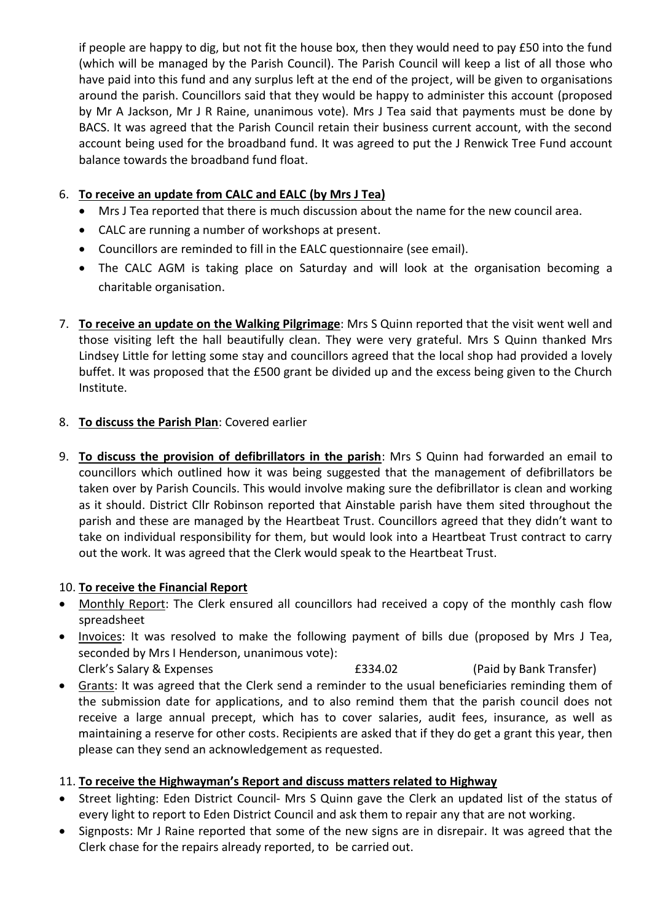if people are happy to dig, but not fit the house box, then they would need to pay £50 into the fund (which will be managed by the Parish Council). The Parish Council will keep a list of all those who have paid into this fund and any surplus left at the end of the project, will be given to organisations around the parish. Councillors said that they would be happy to administer this account (proposed by Mr A Jackson, Mr J R Raine, unanimous vote). Mrs J Tea said that payments must be done by BACS. It was agreed that the Parish Council retain their business current account, with the second account being used for the broadband fund. It was agreed to put the J Renwick Tree Fund account balance towards the broadband fund float.

### 6. **To receive an update from CALC and EALC (by Mrs J Tea)**

- Mrs J Tea reported that there is much discussion about the name for the new council area.
- CALC are running a number of workshops at present.
- Councillors are reminded to fill in the EALC questionnaire (see email).
- The CALC AGM is taking place on Saturday and will look at the organisation becoming a charitable organisation.
- 7. **To receive an update on the Walking Pilgrimage**: Mrs S Quinn reported that the visit went well and those visiting left the hall beautifully clean. They were very grateful. Mrs S Quinn thanked Mrs Lindsey Little for letting some stay and councillors agreed that the local shop had provided a lovely buffet. It was proposed that the £500 grant be divided up and the excess being given to the Church Institute.

### 8. **To discuss the Parish Plan**: Covered earlier

9. **To discuss the provision of defibrillators in the parish**: Mrs S Quinn had forwarded an email to councillors which outlined how it was being suggested that the management of defibrillators be taken over by Parish Councils. This would involve making sure the defibrillator is clean and working as it should. District Cllr Robinson reported that Ainstable parish have them sited throughout the parish and these are managed by the Heartbeat Trust. Councillors agreed that they didn't want to take on individual responsibility for them, but would look into a Heartbeat Trust contract to carry out the work. It was agreed that the Clerk would speak to the Heartbeat Trust.

### 10. **To receive the Financial Report**

- Monthly Report: The Clerk ensured all councillors had received a copy of the monthly cash flow spreadsheet
- Invoices: It was resolved to make the following payment of bills due (proposed by Mrs J Tea, seconded by Mrs I Henderson, unanimous vote): Clerk's Salary & Expenses £334.02 (Paid by Bank Transfer)
- Grants: It was agreed that the Clerk send a reminder to the usual beneficiaries reminding them of the submission date for applications, and to also remind them that the parish council does not receive a large annual precept, which has to cover salaries, audit fees, insurance, as well as maintaining a reserve for other costs. Recipients are asked that if they do get a grant this year, then please can they send an acknowledgement as requested.

## 11. **To receive the Highwayman's Report and discuss matters related to Highway**

- Street lighting: Eden District Council- Mrs S Quinn gave the Clerk an updated list of the status of every light to report to Eden District Council and ask them to repair any that are not working.
- Signposts: Mr J Raine reported that some of the new signs are in disrepair. It was agreed that the Clerk chase for the repairs already reported, to be carried out.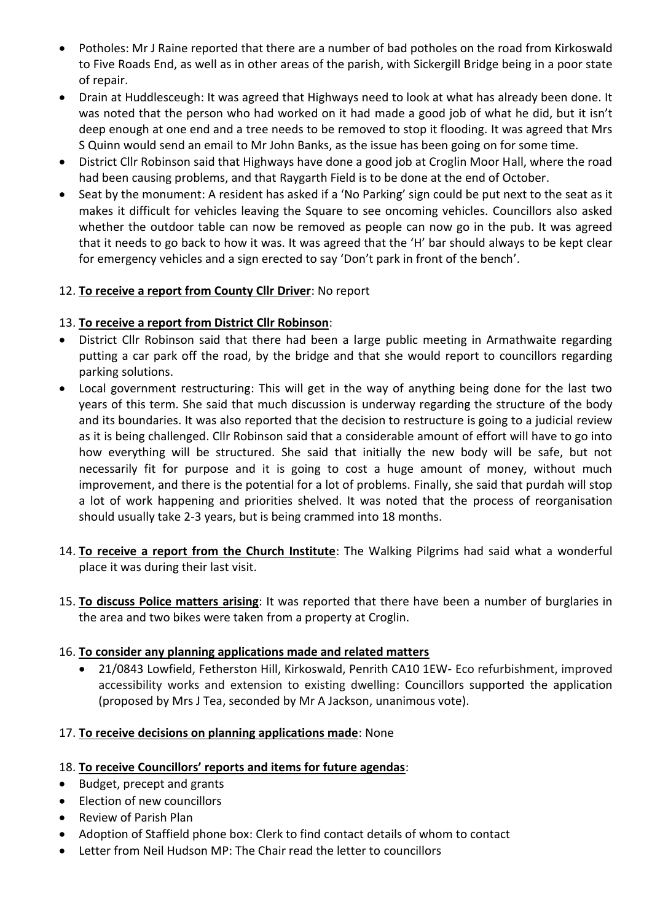- Potholes: Mr J Raine reported that there are a number of bad potholes on the road from Kirkoswald to Five Roads End, as well as in other areas of the parish, with Sickergill Bridge being in a poor state of repair.
- Drain at Huddlesceugh: It was agreed that Highways need to look at what has already been done. It was noted that the person who had worked on it had made a good job of what he did, but it isn't deep enough at one end and a tree needs to be removed to stop it flooding. It was agreed that Mrs S Quinn would send an email to Mr John Banks, as the issue has been going on for some time.
- District Cllr Robinson said that Highways have done a good job at Croglin Moor Hall, where the road had been causing problems, and that Raygarth Field is to be done at the end of October.
- Seat by the monument: A resident has asked if a 'No Parking' sign could be put next to the seat as it makes it difficult for vehicles leaving the Square to see oncoming vehicles. Councillors also asked whether the outdoor table can now be removed as people can now go in the pub. It was agreed that it needs to go back to how it was. It was agreed that the 'H' bar should always to be kept clear for emergency vehicles and a sign erected to say 'Don't park in front of the bench'.

### 12. **To receive a report from County Cllr Driver**: No report

#### 13. **To receive a report from District Cllr Robinson**:

- District Cllr Robinson said that there had been a large public meeting in Armathwaite regarding putting a car park off the road, by the bridge and that she would report to councillors regarding parking solutions.
- Local government restructuring: This will get in the way of anything being done for the last two years of this term. She said that much discussion is underway regarding the structure of the body and its boundaries. It was also reported that the decision to restructure is going to a judicial review as it is being challenged. Cllr Robinson said that a considerable amount of effort will have to go into how everything will be structured. She said that initially the new body will be safe, but not necessarily fit for purpose and it is going to cost a huge amount of money, without much improvement, and there is the potential for a lot of problems. Finally, she said that purdah will stop a lot of work happening and priorities shelved. It was noted that the process of reorganisation should usually take 2-3 years, but is being crammed into 18 months.
- 14. **To receive a report from the Church Institute**: The Walking Pilgrims had said what a wonderful place it was during their last visit.
- 15. **To discuss Police matters arising**: It was reported that there have been a number of burglaries in the area and two bikes were taken from a property at Croglin.

#### 16. **To consider any planning applications made and related matters**

 21/0843 Lowfield, Fetherston Hill, Kirkoswald, Penrith CA10 1EW- Eco refurbishment, improved accessibility works and extension to existing dwelling: Councillors supported the application (proposed by Mrs J Tea, seconded by Mr A Jackson, unanimous vote).

#### 17. **To receive decisions on planning applications made**: None

#### 18. **To receive Councillors' reports and items for future agendas**:

- Budget, precept and grants
- Election of new councillors
- Review of Parish Plan
- Adoption of Staffield phone box: Clerk to find contact details of whom to contact
- Letter from Neil Hudson MP: The Chair read the letter to councillors